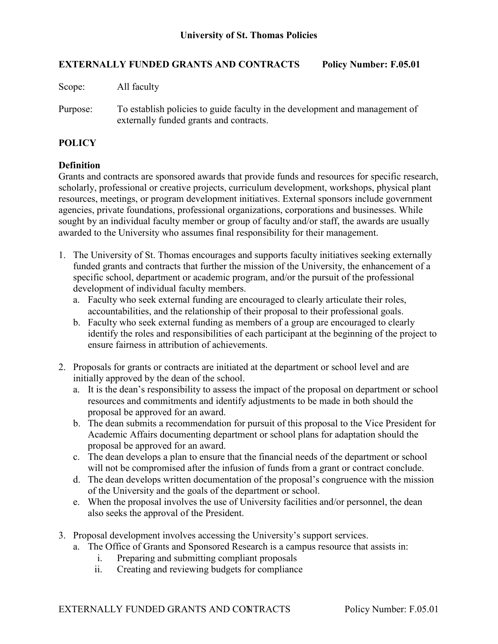## **EXTERNALLY FUNDED GRANTS AND CONTRACTS Policy Number: F.05.01**

Scope: All faculty

Purpose: To establish policies to guide faculty in the development and management of externally funded grants and contracts.

## **POLICY**

## **Definition**

Grants and contracts are sponsored awards that provide funds and resources for specific research, scholarly, professional or creative projects, curriculum development, workshops, physical plant resources, meetings, or program development initiatives. External sponsors include government agencies, private foundations, professional organizations, corporations and businesses. While sought by an individual faculty member or group of faculty and/or staff, the awards are usually awarded to the University who assumes final responsibility for their management.

- 1. The University of St. Thomas encourages and supports faculty initiatives seeking externally funded grants and contracts that further the mission of the University, the enhancement of a specific school, department or academic program, and/or the pursuit of the professional development of individual faculty members.
	- a. Faculty who seek external funding are encouraged to clearly articulate their roles, accountabilities, and the relationship of their proposal to their professional goals.
	- b. Faculty who seek external funding as members of a group are encouraged to clearly identify the roles and responsibilities of each participant at the beginning of the project to ensure fairness in attribution of achievements.
- 2. Proposals for grants or contracts are initiated at the department or school level and are initially approved by the dean of the school.
	- a. It is the dean's responsibility to assess the impact of the proposal on department or school resources and commitments and identify adjustments to be made in both should the proposal be approved for an award.
	- b. The dean submits a recommendation for pursuit of this proposal to the Vice President for Academic Affairs documenting department or school plans for adaptation should the proposal be approved for an award.
	- c. The dean develops a plan to ensure that the financial needs of the department or school will not be compromised after the infusion of funds from a grant or contract conclude.
	- d. The dean develops written documentation of the proposal's congruence with the mission of the University and the goals of the department or school.
	- e. When the proposal involves the use of University facilities and/or personnel, the dean also seeks the approval of the President.
- 3. Proposal development involves accessing the University's support services.
	- a. The Office of Grants and Sponsored Research is a campus resource that assists in:
		- i. Preparing and submitting compliant proposals
		- ii. Creating and reviewing budgets for compliance